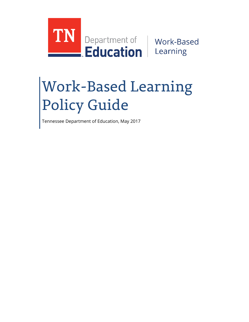

# Work-Based Learning Policy Guide

Tennessee Department of Education, May 2017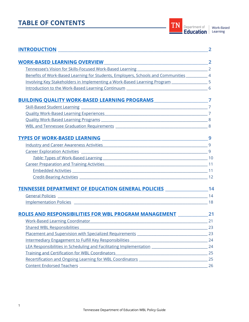# **TABLE OF CONTENTS**

| <b>INTRODUCTION</b>                                                                                                                                                                                                            |           |
|--------------------------------------------------------------------------------------------------------------------------------------------------------------------------------------------------------------------------------|-----------|
| <b>WORK-BASED LEARNING OVERVIEW</b>                                                                                                                                                                                            |           |
|                                                                                                                                                                                                                                |           |
| Benefits of Work-Based Learning for Students, Employers, Schools and Communities ___________ 4                                                                                                                                 |           |
| Involving Key Stakeholders in Implementing a Work-Based Learning Program [1984] [5] 5                                                                                                                                          |           |
|                                                                                                                                                                                                                                |           |
| BUILDING QUALITY WORK-BASED LEARNING PROGRAMS __________________________________7                                                                                                                                              |           |
|                                                                                                                                                                                                                                |           |
| Quality Work-Based Learning Experiences Manual Manual Manual Manual Manual Manual Manual Manual Manual Manual                                                                                                                  |           |
|                                                                                                                                                                                                                                |           |
|                                                                                                                                                                                                                                |           |
|                                                                                                                                                                                                                                |           |
|                                                                                                                                                                                                                                |           |
|                                                                                                                                                                                                                                |           |
|                                                                                                                                                                                                                                |           |
|                                                                                                                                                                                                                                |           |
|                                                                                                                                                                                                                                |           |
|                                                                                                                                                                                                                                |           |
| TENNESSEE DEPARTMENT OF EDUCATION GENERAL POLICIES _____________________________14                                                                                                                                             |           |
| <b>General Policies</b>                                                                                                                                                                                                        |           |
|                                                                                                                                                                                                                                |           |
| ROLES AND RESPONSIBILITIES FOR WBL PROGRAM MANAGEMENT 21                                                                                                                                                                       |           |
| <b>Work-Based Learning Coordinator</b><br>and the control of the control of the control of the control of the control of the control of the control of the                                                                     | 21        |
| Shared WBL Responsibilities                                                                                                                                                                                                    | $\sim$ 23 |
| Placement and Supervision with Specialized Requirements [1986] [1986] [1986] [1986] [1986] [1986] [1986] [1986] [1986] [1986] [1986] [1986] [1986] [1986] [1986] [1986] [1986] [1986] [1986] [1986] [1986] [1986] [1986] [1986 | 23        |
| Intermediary Engagement to Fulfill Key Responsibilities<br><u> 1989 - Johann Barbara, martxa alemaniar a</u>                                                                                                                   | 24        |
| LEA Responsibilities in Scheduling and Facilitating Implementation [1986] [1986] [1986] [1986] [1986] [1986] [                                                                                                                 | 24        |
| <b>Training and Certification for WBL Coordinators</b>                                                                                                                                                                         | 25        |
|                                                                                                                                                                                                                                | 25        |
|                                                                                                                                                                                                                                | 26        |

TN Department of Work-Based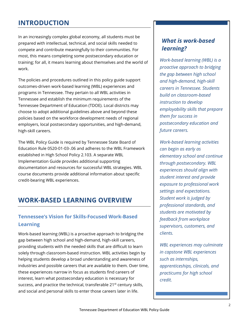# <span id="page-2-0"></span>**INTRODUCTION**

In an increasingly complex global economy, all students must be prepared with intellectual, technical, and social skills needed to compete and contribute meaningfully to their communities. For most, this means completing some postsecondary education or training; for all, it means learning about themselves and the world of work.

The policies and procedures outlined in this policy guide support outcomes-driven work-based learning (WBL) experiences and programs in Tennessee. They pertain to all WBL activities in Tennessee and establish the minimum requirements of the Tennessee Department of Education (TDOE). Local districts may choose to adopt additional guidelines above and beyond these policies based on the workforce development needs of regional employers, local postsecondary opportunities, and high-demand, high-skill careers.

The WBL Policy Guide is required by Tennessee State Board of Education Rule 0520-01-03-.06 and adheres to the WBL Framework established in High School Policy 2.103. A separate WBL Implementation Guide provides additional supporting documentation and resources for successful WBL strategies. WBL course documents provide additional information about specific credit-bearing WBL experiences.

# <span id="page-2-1"></span>**WORK-BASED LEARNING OVERVIEW**

# <span id="page-2-2"></span>**Tennessee's Vision for Skills-Focused Work-Based Learning**

Work-based learning (WBL) is a proactive approach to bridging the gap between high school and high-demand, high-skill careers, providing students with the needed skills that are difficult to learn solely through classroom-based instruction. WBL activities begin by helping students develop a broad understanding and awareness of industries and possible careers that are available to them. Over time, these experiences narrow in focus as students find careers of interest, learn what postsecondary education is necessary for success, and practice the technical, transferable 21<sup>st</sup> century skills, and social and personal skills to enter those careers later in life.

# *What is work-based learning?*

*Work-based learning (WBL) is a proactive approach to bridging the gap between high school and high-demand, high-skill careers in Tennessee. Students build on classroom-based instruction to develop employability skills that prepare them for success in postsecondary education and future careers.* 

*Work-based learning activities can begin as early as elementary school and continue through postsecondary. WBL experiences should align with student interest and provide exposure to professional work settings and expectations. Student work is judged by professional standards, and students are motivated by feedback from workplace supervisors, customers, and clients.*

*WBL experiences may culminate in capstone WBL experiences such as internships, apprenticeships, clinicals, and practicums for high school credit.*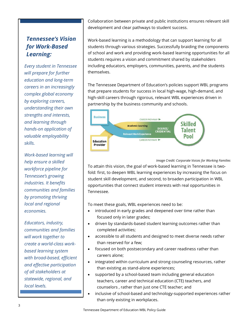# *Tennessee's Vision for Work-Based Learning:*

*Every student in Tennessee will prepare for further education and long-term careers in an increasingly complex global economy by exploring careers, understanding their own strengths and interests, and learning through hands-on application of valuable employability skills.*

*Work-based learning will help ensure a skilled workforce pipeline for Tennessee's growing industries. It benefits communities and families by promoting thriving local and regional economies.* 

*Educators, industry, communities and families will work together to create a world-class workbased learning system with broad-based, efficient and effective participation of all stakeholders at statewide, regional, and local levels.* 

Collaboration between private and public institutions ensures relevant skill development and clear pathways to student success.

Work-based learning is a methodology that can support learning for all students through various strategies. Successfully braiding the components of school and work and providing work-based learning opportunities for all students requires a vision and commitment shared by stakeholders including educators, employers, communities, parents, and the students themselves.

The Tennessee Department of Education's policies support WBL programs that prepare students for success in local high-wage, high-demand, and high-skill careers through rigorous, relevant WBL experiences driven in partnership by the business community and schools.



#### *Image Credit: Corporate Voices for Working Families*

To attain this vision, the goal of work-based learning in Tennessee is twofold: first, to deepen WBL learning experiences by increasing the focus on student skill development, and second, to broaden participation in WBL opportunities that connect student interests with real opportunities in Tennessee.

To meet these goals, WBL experiences need to be:

- introduced in early grades and deepened over time rather than focused only in later grades;
- driven by standards-based student learning outcomes rather than completed activities;
- accessible to all students and designed to meet diverse needs rather than reserved for a few;
- focused on both postsecondary and career readiness rather than careers alone;
- integrated within curriculum and strong counseling resources, rather than existing as stand-alone experiences;
- supported by a school-based team including general education teachers, career and technical education (CTE) teachers, and counselors , rather than just one CTE teacher; and
- inclusive of school-based and technology-supported experiences rather than only existing in workplaces.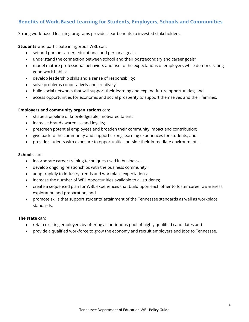# <span id="page-4-0"></span>**Benefits of Work-Based Learning for Students, Employers, Schools and Communities**

Strong work-based learning programs provide clear benefits to invested stakeholders.

**Students** who participate in rigorous WBL can:

- set and pursue career, educational and personal goals;
- understand the connection between school and their postsecondary and career goals;
- model mature professional behaviors and rise to the expectations of employers while demonstrating good work habits;
- develop leadership skills and a sense of responsibility;
- solve problems cooperatively and creatively;
- build social networks that will support their learning and expand future opportunities; and
- access opportunities for economic and social prosperity to support themselves and their families.

#### **Employers and community organizations** can:

- shape a pipeline of knowledgeable, motivated talent;
- increase brand awareness and loyalty;
- prescreen potential employees and broaden their community impact and contribution;
- give back to the community and support strong learning experiences for students; and
- provide students with exposure to opportunities outside their immediate environments.

#### **Schools** can:

- incorporate career training techniques used in businesses;
- develop ongoing relationships with the business community;
- adapt rapidly to industry trends and workplace expectations;
- increase the number of WBL opportunities available to all students;
- create a sequenced plan for WBL experiences that build upon each other to foster career awareness, exploration and preparation; and
- promote skills that support students' attainment of the Tennessee standards as well as workplace standards.

#### **The state** can:

- retain existing employers by offering a continuous pool of highly qualified candidates and
- provide a qualified workforce to grow the economy and recruit employers and jobs to Tennessee.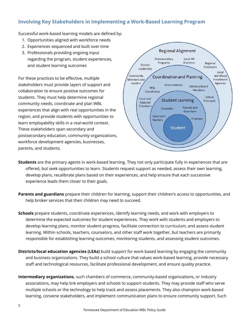# <span id="page-5-0"></span>**Involving Key Stakeholders in Implementing a Work-Based Learning Program**

Successful work-based learning models are defined by:

- 1. Opportunities aligned with workforce needs
- 2. Experiences sequenced and built over time
- 3. Professionals providing ongoing input regarding the program, student experiences, and student learning outcomes

For these practices to be effective, multiple stakeholders must provide layers of support and collaboration to ensure positive outcomes for students. They must help determine regional community needs, coordinate and plan WBL experiences that align with real opportunities in the region, and provide students with opportunities to learn employability skills in a real-world context. These stakeholders span secondary and postsecondary education, community organizations, workforce development agencies, businesses, parents, and students.



- **Students** are the primary agents in work-based learning. They not only participate fully in experiences that are offered, but seek opportunities to learn. Students request support as needed, assess their own learning, develop plans, recalibrate plans based on their experiences, and help ensure that each successive experience leads them closer to their goals.
- **Parents and guardians** prepare their children for learning, support their children's access to opportunities, and help broker services that their children may need to succeed.
- **Schools** prepare students, coordinate experiences, identify learning needs, and work with employers to determine the expected outcomes for student experiences. They work with students and employers to develop learning plans, monitor student progress, facilitate connection to curriculum, and assess student learning. Within schools, teachers, counselors, and other staff work together, but teachers are primarily responsible for establishing learning outcomes, monitoring students, and assessing student outcomes.
- **Districts/local education agencies (LEAs)** build support for work-based learning by engaging the community and business organizations. They build a school culture that values work-based learning, provide necessary staff and technological resources, facilitate professional development, and ensure quality practice.
- **Intermediary organizations**, such chambers of commerce, community-based organizations, or industry associations, may help link employers and schools to support students. They may provide staff who serve multiple schools or the technology to help track and assess placements. They also champion work-based learning, convene stakeholders, and implement communication plans to ensure community support. Such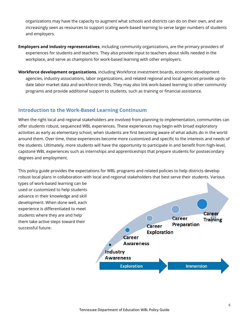organizations may have the capacity to augment what schools and districts can do on their own, and are increasingly seen as resources to support scaling work-based learning to serve larger numbers of students and employers.

- **Employers and industry representatives**, including community organizations, are the primary providers of experiences for students and teachers. They also provide input to teachers about skills needed in the workplace, and serve as champions for work-based learning with other employers.
- **Workforce development organizations**, including Workforce investment boards, economic development agencies, industry associations, labor organizations, and related regional and local agencies provide up-todate labor market data and workforce trends. They may also link work-based learning to other community programs and provide additional support to students, such as training or financial assistance.

#### <span id="page-6-0"></span>**Introduction to the Work-Based Learning Continuum**

When the right local and regional stakeholders are involved from planning to implementation, communities can offer students robust, sequenced WBL experiences. These experiences may begin with broad exploratory activities as early as elementary school, when students are first becoming aware of what adults do in the world around them. Over time, these experiences become more customized and specific to the interests and needs of the students. Ultimately, more students will have the opportunity to participate in and benefit from high-level, capstone WBL experiences such as internships and apprenticeships that prepare students for postsecondary degrees and employment.

This policy guide provides the expectations for WBL programs and related policies to help districts develop robust local plans in collaboration with local and regional stakeholders that best serve their students. Various

types of work-based learning can be used or customized to help students advance in their knowledge and skill development. When done well, each experience is differentiated to meet students where they are and help them take active steps toward their successful future.

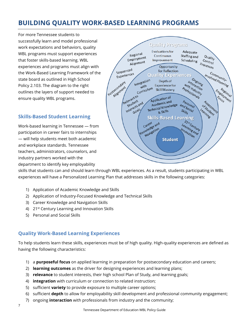# <span id="page-7-0"></span>**BUILDING QUALITY WORK-BASED LEARNING PROGRAMS**

For more Tennessee students to successfully learn and model professional work expectations and behaviors, quality WBL programs must support experiences that foster skills-based learning. WBL experiences and programs must align with the Work-Based Learning Framework of the state board as outlined in High School Policy 2.103. The diagram to the right outlines the layers of support needed to ensure quality WBL programs.

## <span id="page-7-1"></span>**Skills-Based Student Learning**

Work-based learning in Tennessee — from participation in career fairs to internships — will help students meet both academic and workplace standards. Tennessee teachers, administrators, counselors, and industry partners worked with the department to identify key employability



skills that students can and should learn through WBL experiences. As a result, students participating in WBL experiences will have a Personalized Learning Plan that addresses skills in the following categories:

- 1) Application of Academic Knowledge and Skills
- 2) Application of Industry-Focused Knowledge and Technical Skills
- 3) Career Knowledge and Navigation Skills
- 4) 21<sup>st</sup> Century Learning and Innovation Skills
- 5) Personal and Social Skills

# <span id="page-7-2"></span>**Quality Work-Based Learning Experiences**

To help students learn these skills, experiences must be of high quality. High-quality experiences are defined as having the following characteristics:

- 1) a **purposeful focus** on applied learning in preparation for postsecondary education and careers;
- 2) **learning outcomes** as the driver for designing experiences and learning plans;
- 3) **relevance** to student interests, their high school Plan of Study, and learning goals;
- 4) **integration** with curriculum or connection to related instruction;
- 5) sufficient **variety** to provide exposure to multiple career options;
- 6) sufficient **depth** to allow for employability skill development and professional community engagement;
- 7) ongoing **interaction** with professionals from industry and the community;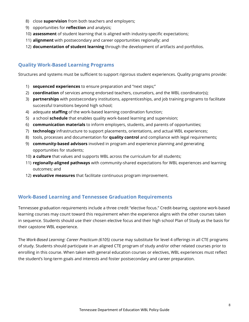- 8) close **supervision** from both teachers and employers;
- 9) opportunities for **reflection** and analysis;
- 10) **assessment** of student learning that is aligned with industry-specific expectations;
- 11) **alignment** with postsecondary and career opportunities regionally; and
- 12) **documentation of student learning** through the development of artifacts and portfolios.

## <span id="page-8-0"></span>**Quality Work-Based Learning Programs**

Structures and systems must be sufficient to support rigorous student experiences. Quality programs provide:

- 1) **sequenced experiences** to ensure preparation and "next steps;"
- 2) **coordination** of services among endorsed teachers, counselors, and the WBL coordinator(s);
- 3) **partnerships** with postsecondary institutions, apprenticeships, and job training programs to facilitate successful transitions beyond high school;
- 4) adequate **staffing** of the work-based learning coordination function;
- 5) a school **schedule** that enables quality work-based learning and supervision;
- 6) **communication materials** to inform employers, students, and parents of opportunities;
- 7) **technology** infrastructure to support placements, orientations, and actual WBL experiences;
- 8) tools, processes and documentation for **quality control** and compliance with legal requirements;
- 9) **community-based advisors** involved in program and experience planning and generating opportunities for students;
- 10) **a culture** that values and supports WBL across the curriculum for all students;
- 11) **regionally-aligned pathways** with community-shared expectations for WBL experiences and learning outcomes; and
- 12) **evaluative measures** that facilitate continuous program improvement.

#### <span id="page-8-1"></span>**Work-Based Learning and Tennessee Graduation Requirements**

Tennessee graduation requirements include a three credit "elective focus." Credit-bearing, capstone work-based learning courses may count toward this requirement when the experience aligns with the other courses taken in sequence. Students should use their chosen elective focus and their high school Plan of Study as the basis for their capstone WBL experience.

The *Work-Based Learning: Career Practicum (6105)* course may substitute for level 4 offerings in all CTE programs of study. Students should participate in an aligned CTE program of study and/or other related courses prior to enrolling in this course. When taken with general education courses or electives, WBL experiences must reflect the student's long-term goals and interests and foster postsecondary and career preparation.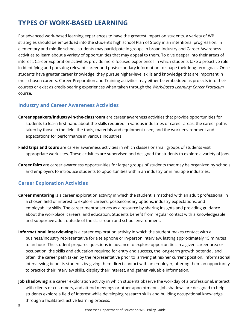# <span id="page-9-0"></span>**TYPES OF WORK-BASED LEARNING**

For advanced work-based learning experiences to have the greatest impact on students, a variety of WBL strategies should be embedded into the student's high school Plan of Study in an intentional progression. In elementary and middle school, students may participate in groups in broad Industry and Career Awareness activities to learn about a variety of opportunities that may appeal to them. To dive deeper into their areas of interest, Career Exploration activities provide more focused experiences in which students take a proactive role in identifying and pursuing relevant career and postsecondary information to shape their long-term goals. Once students have greater career knowledge, they pursue higher-level skills and knowledge that are important in their chosen careers. Career Preparation and Training activities may either be embedded as projects into their courses or exist as credit-bearing experiences when taken through the *Work-Based Learning: Career Practicum* course.

#### <span id="page-9-1"></span>**Industry and Career Awareness Activities**

- **Career speakers/industry-in-the-classroom** are career awareness activities that provide opportunities for students to learn first-hand about the skills required in various industries or career areas; the career paths taken by those in the field; the tools, materials and equipment used; and the work environment and expectations for performance in various industries.
- **Field trips and tours** are career awareness activities in which classes or small groups of students visit appropriate work sites. These activities are supervised and designed for students to explore a variety of jobs.
- **Career fairs** are career awareness opportunities for larger groups of students that may be organized by schools and employers to introduce students to opportunities within an industry or in multiple industries.

## <span id="page-9-2"></span>**Career Exploration Activities**

- **Career mentoring** is a career exploration activity in which the student is matched with an adult professional in a chosen field of interest to explore careers, postsecondary options, industry expectations, and employability skills. The career mentor serves as a resource by sharing insights and providing guidance about the workplace, careers, and education. Students benefit from regular contact with a knowledgeable and supportive adult outside of the classroom and school environment.
- **Informational interviewing** is a career exploration activity in which the student makes contact with a business/industry representative for a telephone or in-person interview, lasting approximately 15 minutes to an hour. The student prepares questions in advance to explore opportunities in a given career area or occupation, the skills and education required for entry and success, the long-term growth potential, and, often, the career path taken by the representative prior to arriving at his/her current position. Informational interviewing benefits students by giving them direct contact with an employer, offering them an opportunity to practice their interview skills, display their interest, and gather valuable information.
- **Job shadowing** is a career exploration activity in which students observe the workday of a professional, interact with clients or customers, and attend meetings or other appointments. Job shadows are designed to help students explore a field of interest while developing research skills and building occupational knowledge through a facilitated, active learning process.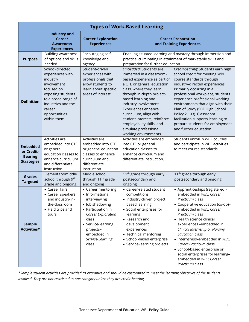| <b>Types of Work-Based Learning</b>                                  |                                                                                                                                                                                           |                                                                                                                                                                                                              |                                                                                                                                                                                                                                                                                                                                                                                                |                                                                                                                                                                                                                                                                                                                                                                                                                                                                    |  |
|----------------------------------------------------------------------|-------------------------------------------------------------------------------------------------------------------------------------------------------------------------------------------|--------------------------------------------------------------------------------------------------------------------------------------------------------------------------------------------------------------|------------------------------------------------------------------------------------------------------------------------------------------------------------------------------------------------------------------------------------------------------------------------------------------------------------------------------------------------------------------------------------------------|--------------------------------------------------------------------------------------------------------------------------------------------------------------------------------------------------------------------------------------------------------------------------------------------------------------------------------------------------------------------------------------------------------------------------------------------------------------------|--|
|                                                                      | <b>Industry and</b><br>Career<br><b>Awareness</b><br><b>Experiences</b>                                                                                                                   | <b>Career Exploration</b><br><b>Experiences</b>                                                                                                                                                              | <b>Career Preparation</b><br>and Training Experiences                                                                                                                                                                                                                                                                                                                                          |                                                                                                                                                                                                                                                                                                                                                                                                                                                                    |  |
| <b>Purpose</b>                                                       | <b>Building awareness</b><br>of options and skills<br>needed                                                                                                                              | Encouraging self-<br>knowledge and<br>agency                                                                                                                                                                 | Enabling situated learning and mastery through immersion and<br>practice, culminating in attainment of marketable skills and<br>preparation for further education                                                                                                                                                                                                                              |                                                                                                                                                                                                                                                                                                                                                                                                                                                                    |  |
| <b>Definition</b>                                                    | School-directed<br>experiences with<br>industry<br>involvement<br>focused on<br>exposing students<br>to a broad range of<br>industries and the<br>career<br>opportunities<br>within them. | Student-driven<br>experiences with<br>professionals that<br>allow students to<br>learn about specific<br>areas of interest.                                                                                  | <i>Embedded</i> : Students are<br>immersed in a classroom-<br>based experience as part of<br>a CTE or general education<br>class, where they learn<br>through in-depth project-<br>based learning and<br>industry involvement.<br>Experiences enhance<br>curriculum, align with<br>student interests, reinforce<br>employability skills, and<br>simulate professional<br>working environments. | Credit-bearing: Students earn high<br>school credit for meeting WBL<br>course standards through<br>industry-directed experiences.<br>Primarily occurring in a<br>professional workplace, students<br>experience professional working<br>environments that align with their<br>Plan of Study (SBE High School<br>Policy 2.103). Classroom<br>facilitation supports learning to<br>prepare students for employment<br>and further education.                         |  |
| <b>Embedded</b><br>or Credit-<br><b>Bearing</b><br><b>Strategies</b> | Activities are<br>embedded into CTE<br>or general<br>education classes to<br>enhance curriculum<br>and differentiate<br>instruction.                                                      | Activities are<br>embedded into CTE<br>or general education<br>classes to enhance<br>curriculum and<br>differentiate<br>instruction.                                                                         | Activities are embedded<br>into CTE or general<br>education classes to<br>enhance curriculum and<br>differentiate instruction.                                                                                                                                                                                                                                                                 | Students enroll in WBL courses<br>and participate in WBL activities<br>to meet course standards.                                                                                                                                                                                                                                                                                                                                                                   |  |
| <b>Grades</b><br><b>Targeted</b>                                     | Elementary/middle<br>school through 9th<br>grade and ongoing                                                                                                                              | Middle school<br>through 11 <sup>th</sup> grade<br>and ongoing                                                                                                                                               | 11 <sup>th</sup> grade through early<br>postsecondary and<br>ongoing                                                                                                                                                                                                                                                                                                                           | 11 <sup>th</sup> grade through early<br>postsecondary and ongoing                                                                                                                                                                                                                                                                                                                                                                                                  |  |
| Sample<br>Activities*                                                | • Career fairs<br>• Career speakers<br>and industry-in-<br>the-classroom<br>• Field trips and<br>tours                                                                                    | • Career mentoring<br>• Informational<br>interviewing<br>· Job shadowing<br>• Participation in<br>Career Exploration<br>class<br>• Service-learning<br>projects-<br>embedded in<br>Service-Learning<br>class | • Career-related student<br>competitions<br>· Industry-driven project<br>based learning<br>• Social enterprises for<br>learning<br>• Research and<br>development<br>experiences<br>• Technical mentoring<br>• School-based enterprise<br>• Service-learning projects                                                                                                                           | • Apprenticeships (registered)-<br>embedded in WBL: Career<br>Practicum class<br>• Cooperative education (co-op)-<br>embedded in WBL: Career<br>Practicum class<br>• Health science clinical<br>experiences -embedded in<br>Clinical Internship or Nursing<br><b>Education class</b><br>• Internships-embedded in WBL:<br>Career Practicum class<br>• School-based enterprise or<br>social enterprises for learning-<br>embedded in WBL: Career<br>Practicum class |  |

*\*Sample student activities are provided as examples and should be customized to meet the learning objectives of the students involved. They are not restricted to one category unless they are credit-bearing.*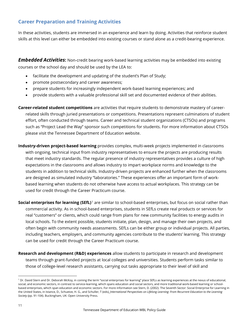## <span id="page-11-0"></span>**Career Preparation and Training Activities**

In these activities, students are immersed in an experience and learn by doing. Activities that reinforce student skills at this level can either be embedded into existing courses or stand alone as a credit-bearing experience.

<span id="page-11-1"></span>*Embedded Activities***:** Non-credit bearing work-based learning activities may be embedded into existing courses or the school day and should be used by the LEA to:

- facilitate the development and updating of the student's Plan of Study;
- promote postsecondary and career awareness;
- prepare students for increasingly independent work-based learning experiences; and
- provide students with a valuable professional skill set and documented evidence of their abilities.
- **Career-related student competitions** are activities that require students to demonstrate mastery of careerrelated skills through juried presentations or competitions. Presentations represent culminations of student effort, often conducted through teams. Career and technical student organizations (CTSOs) and programs such as "Project Lead the Way" sponsor such competitions for students. For more information about CTSOs please visit the Tennessee Department of Education website.
- **Industry-driven project-based learning** provides complex, multi-week projects implemented in classrooms with ongoing, technical input from industry representatives to ensure the projects are producing results that meet industry standards. The regular presence of industry representatives provides a culture of high expectations in the classrooms and allows industry to impart workplace norms and knowledge to the students in addition to technical skills. Industry-driven projects are enhanced further when the classrooms are designed as simulated industry "laboratories." These experiences offer an important form of workbased learning when students do not otherwise have access to actual workplaces. This strategy can be used for credit through the Career Practicum course.
- **Social enterprises for learning (SEfL)**[1](#page-11-2) are similar to school-based enterprises, but focus on social rather than commercial activity. As in school-based enterprises, students in SEfLs create real products or services for real "customers" or clients, which could range from plans for new community facilities to energy audits in local schools. To the extent possible, students initiate, plan, design, and manage their own projects, and often begin with community needs assessments. SEfLs can be either group or individual projects. All parties, including teachers, employers, and community agencies contribute to the students' learning. This strategy can be used for credit through the Career Practicum course.
- **Research and development (R&D) experiences** allow students to participate in research and development teams through grant-funded projects at local colleges and universities. Students perform tasks similar to those of college-level research assistants, carrying out tasks appropriate to their level of skill and

 $\overline{a}$ 

<span id="page-11-2"></span><sup>&</sup>lt;sup>1</sup> Dr. David Stern and Dr. Deborah McKoy, in coining the term "social enterprises for learning" place SEfLs as learning experiences at the nexus of educational, social, and economic sectors, in contrast to service-learning, which spans education and social sectors, and more traditional work-based learning or schoolbased enterprises, which span education and economic sectors. For more information see Stern, D. (2002). The Seventh Sector: Social Enterprise for Learning in the United States, in Istance, D., Schuetze, H. G., and Schuller, T (eds), *International Perspectives on Lifelong Learning: From Recurrent Education to the Learning Society (*pp. 91-104). Buckingham, UK: Open University Press.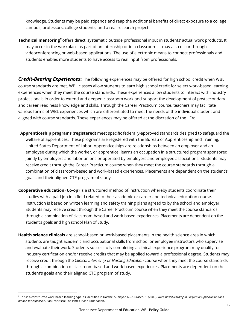knowledge. Students may be paid stipends and reap the additional benefits of direct exposure to a college campus, professors, college students, and a real research project.

**Technical mentoring[2](#page-12-1)** offers direct, systematic outside professional input in students' actual work products. It may occur in the workplace as part of an internship or in a classroom. It may also occur through videoconferencing or web-based applications. The use of electronic means to connect professionals and students enables more students to have access to real input from professionals.

<span id="page-12-0"></span>*Credit-Bearing Experiences***:** The following experiences may be offered for high school credit when WBL course standards are met. WBL classes allow students to earn high school credit for select work-based learning experiences when they meet the course standards. These experiences allow students to interact with industry professionals in order to extend and deepen classroom work and support the development of postsecondary and career readiness knowledge and skills. Through the Career Practicum course, teachers may facilitate various forms of WBL experiences which are differentiated to meet the needs of the individual student and aligned with course standards. These experiences may be offered at the discretion of the LEA:

- **Apprenticeship programs (registered)** meet specific federally-approved standards designed to safeguard the welfare of apprentices. These programs are registered with the Bureau of Apprenticeship and Training, United States Department of Labor. Apprenticeships are relationships between an employer and an employee during which the worker, or apprentice, learns an occupation in a structured program sponsored jointly by employers and labor unions or operated by employers and employee associations. Students may receive credit through the Career Practicum course when they meet the course standards through a combination of classroom-based and work-based experiences. Placements are dependent on the student's goals and their aligned CTE program of study.
- **Cooperative education (Co-op)** is a structured method of instruction whereby students coordinate their studies with a paid job in a field related to their academic or career and technical education course. Instruction is based on written learning and safety training plans agreed to by the school and employer. Students may receive credit through the Career Practicum course when they meet the course standards through a combination of classroom-based and work-based experiences. Placements are dependent on the student's goals and high school Plan of Study.
- **Health science clinicals** are school-based or work-based placements in the health science area in which students are taught academic and occupational skills from school or employee instructors who supervise and evaluate their work. Students successfully completing a clinical experience program may qualify for industry certification and/or receive credits that may be applied toward a professional degree. Students may receive credit through the *Clinical Internship* or *Nursing Education* course when they meet the course standards through a combination of classroom-based and work-based experiences. Placements are dependent on the student's goals and their aligned CTE program of study.

 $\overline{a}$ 

<span id="page-12-1"></span><sup>2</sup> This is a constructed work-based learning type, as identified in Darche, S., Nayar, N., & Bracco, K. (2009). *Work-based learning in California: Opportunities and models for expansion*. San Francisco: The James Irvine Foundation.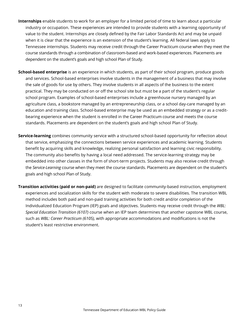- **Internships** enable students to work for an employer for a limited period of time to learn about a particular industry or occupation. These experiences are intended to provide students with a learning opportunity of value to the student. Internships are closely defined by the Fair Labor Standards Act and may be unpaid when it is clear that the experience is an extension of the student's learning. All federal laws apply to Tennessee internships. Students may receive credit through the Career Practicum course when they meet the course standards through a combination of classroom-based and work-based experiences. Placements are dependent on the student's goals and high school Plan of Study.
- **School-based enterprise** is an experience in which students, as part of their school program, produce goods and services. School-based enterprises involve students in the management of a business that may involve the sale of goods for use by others. They involve students in all aspects of the business to the extent practical. They may be conducted on or off the school site but must be a part of the student's regular school program. Examples of school-based enterprises include a greenhouse nursery managed by an agriculture class, a bookstore managed by an entrepreneurship class, or a school day-care managed by an education and training class. School-based enterprise may be used as an embedded strategy or as a creditbearing experience when the student is enrolled in the Career Practicum course and meets the course standards. Placements are dependent on the student's goals and high school Plan of Study.
- **Service-learning** combines community service with a structured school-based opportunity for reflection about that service, emphasizing the connections between service experiences and academic learning. Students benefit by acquiring skills and knowledge, realizing personal satisfaction and learning civic responsibility. The community also benefits by having a local need addressed. The service-learning strategy may be embedded into other classes in the form of short-term projects. Students may also receive credit through the *Service-Learning* course when they meet the course standards. Placements are dependent on the student's goals and high school Plan of Study.
- **Transition activities (paid or non-paid)** are designed to facilitate community-based instruction, employment experiences and socialization skills for the student with moderate to severe disabilities. The transition WBL method includes both paid and non-paid training activities for both credit and/or completion of the Individualized Education Program (IEP) goals and objectives. Students may receive credit through the *WBL: Special Education Transition (6107)* course when an IEP team determines that another capstone WBL course, such as *WBL: Career Practicum (6105),* with appropriate accommodations and modifications is not the student's least restrictive environment.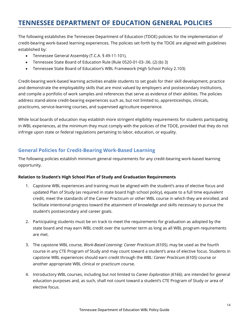# <span id="page-14-0"></span>**TENNESSEE DEPARTMENT OF EDUCATION GENERAL POLICIES**

The following establishes the Tennessee Department of Education (TDOE) policies for the implementation of credit-bearing work-based learning experiences. The policies set forth by the TDOE are aligned with guidelines established by:

- Tennessee General Assembly (T.C.A. § 49-11-101),
- Tennessee State Board of Education Rule (Rule 0520-01-03-.06. (2) (b) 3)
- Tennessee State Board of Education's WBL Framework (High School Policy 2.103)

Credit-bearing work-based learning activities enable students to set goals for their skill development, practice and demonstrate the employability skills that are most valued by employers and postsecondary institutions, and compile a portfolio of work samples and references that serve as evidence of their abilities. The policies address stand-alone credit-bearing experiences such as, but not limited to, apprenticeships, clinicals, practicums, service-learning courses, and supervised agriculture experience.

While local boards of education may establish more stringent eligibility requirements for students participating in WBL experiences, at the minimum they must comply with the policies of the TDOE, provided that they do not infringe upon state or federal regulations pertaining to labor, education, or equality.

## <span id="page-14-1"></span>**General Policies for Credit-Bearing Work-Based Learning**

The following policies establish minimum general requirements for any credit-bearing work-based learning opportunity.

#### **Relation to Student's High School Plan of Study and Graduation Requirements**

- 1. Capstone WBL experiences and training must be aligned with the student's area of elective focus and updated Plan of Study (as required in state board high school policy), equate to a full time equivalent credit, meet the standards of the Career Practicum or other WBL course in which they are enrolled, and facilitate intentional progress toward the attainment of knowledge and skills necessary to pursue the student's postsecondary and career goals.
- 2. Participating students must be on track to meet the requirements for graduation as adopted by the state board and may earn WBL credit over the summer term as long as all WBL program requirements are met.
- 3. The capstone WBL course, *Work-Based Learning: Career Practicum (6105)*, may be used as the fourth course in any CTE Program of Study and may count toward a student's area of elective focus. Students in capstone WBL experiences should earn credit through the *WBL: Career Practicum (6105)* course or another appropriate WBL clinical or practicum course.
- 4. Introductory WBL courses, including but not limited to *Career Exploration (6166)*, are intended for general education purposes and, as such, shall not count toward a student's CTE Program of Study or area of elective focus.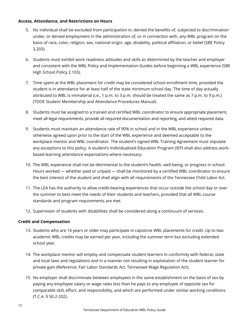#### **Access, Attendance, and Restrictions on Hours**

- 5. No individual shall be excluded from participation in, denied the benefits of, subjected to discrimination under, or denied employment in the administration of, or in connection with, any WBL program on the basis of race, color, religion, sex, national origin, age, disability, political affiliation, or belief (SBE Policy 3.203).
- 6. Students must exhibit work readiness attitudes and skills as determined by the teacher and employer and consistent with the WBL Policy and Implementation Guides before beginning a WBL experience (SBE High School Policy 2.103).
- 7. Time spent at the WBL placement for credit may be considered school enrollment time, provided the student is in attendance for at least half of the state minimum school day. The time of day actually attributed to WBL is immaterial (i.e., 1 p.m. to 3 p.m. should be treated the same as 7 p.m. to 9 p.m.) (TDOE Student Membership and Attendance Procedures Manual).
- 8. Students must be assigned to a trained and certified WBL coordinator to ensure appropriate placement, meet all legal requirements, provide all required documentation and reporting, and attest required data.
- 9. Students must maintain an attendance rate of 90% in school and in the WBL experience unless otherwise agreed upon prior to the start of the WBL experience and deemed acceptable to the workplace mentor and WBL coordinator. The student's signed WBL Training Agreement must stipulate any exceptions to this policy. A student's Individualized Education Program (IEP) shall also address workbased learning attendance expectations where necessary.
- 10. The WBL experience shall not be detrimental to the student's health, well-being, or progress in school. Hours worked — whether paid or unpaid — shall be monitored by a certified WBL coordinator to ensure the best interest of the student and shall align with all requirements of the Tennessee Child Labor Act.
- 11. The LEA has the authority to allow credit-bearing experiences that occur outside the school day or over the summer to best meet the needs of their students and teachers, provided that all WBL course standards and program requirements are met.
- 12. Supervision of students with disabilities shall be considered along a continuum of services.

#### **Credit and Compensation**

- 13. Students who are 16 years or older may participate in capstone WBL placements for credit. Up to two academic WBL credits may be earned per year, including the summer term but excluding extended school year.
- 14. The workplace mentor will employ and compensate student learners in conformity with federal, state and local laws and regulations and in a manner not resulting in exploitation of the student learner for private gain (Reference: Fair Labor Standards Act, Tennessee Wage Regulation Act).
- 15. No employer shall discriminate between employees in the same establishment on the basis of sex by paying any employee salary or wage rates less than he pays to any employee of opposite sex for comparable skill, effort, and responsibility, and which are performed under similar working conditions (T.C.A. § 50-2-202).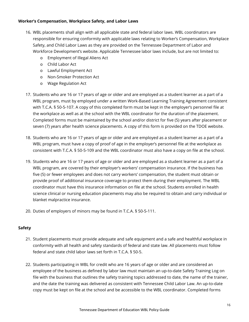#### **Worker's Compensation, Workplace Safety, and Labor Laws**

- 16. WBL placements shall align with all applicable state and federal labor laws. WBL coordinators are responsible for ensuring conformity with applicable laws relating to Worker's Compensation, Workplace Safety, and Child Labor Laws as they are provided on the Tennessee Department of Labor and Workforce Development's website. Applicable Tennessee labor laws include, but are not limited to:
	- o Employment of Illegal Aliens Act
	- o Child Labor Act
	- o Lawful Employment Act
	- o Non-Smoker Protection Act
	- o Wage Regulation Act
- 17. Students who are 16 or 17 years of age or older and are employed as a student learner as a part of a WBL program, must by employed under a written Work-Based Learning Training Agreement consistent with T.C.A. § 50-5-107. A copy of this completed form must be kept in the employer's personnel file at the workplace as well as at the school with the WBL coordinator for the duration of the placement. Completed forms must be maintained by the school and/or district for five (5) years after placement or seven (7) years after health science placements. A copy of this form is provided on the TDOE website.
- 18. Students who are 16 or 17 years of age or older and are employed as a student learner as a part of a WBL program, must have a copy of proof of age in the employer's personnel file at the workplace as consistent with T.C.A. § 50-5-109 and the WBL coordinator must also have a copy on file at the school.
- 19. Students who are 16 or 17 years of age or older and are employed as a student learner as a part of a WBL program, are covered by their employer's workers' compensation insurance. If the business has five (5) or fewer employees and does not carry workers' compensation, the student must obtain or provide proof of additional insurance coverage to protect them during their employment. The WBL coordinator must have this insurance information on file at the school. Students enrolled in health science clinical or nursing education placements may also be required to obtain and carry individual or blanket malpractice insurance.
- 20. Duties of employers of minors may be found in T.C.A. § 50-5-111.

#### **Safety**

- 21. Student placements must provide adequate and safe equipment and a safe and healthful workplace in conformity with all health and safety standards of federal and state law. All placements must follow federal and state child labor laws set forth in T.C.A. § 50-5.
- 22. Students participating in WBL for credit who are 16 years of age or older and are considered an employee of the business as defined by labor law must maintain an up-to-date Safety Training Log on file with the business that outlines the safety training topics addressed to date, the name of the trainer, and the date the training was delivered as consistent with Tennessee Child Labor Law. An up-to-date copy must be kept on file at the school and be accessible to the WBL coordinator. Completed forms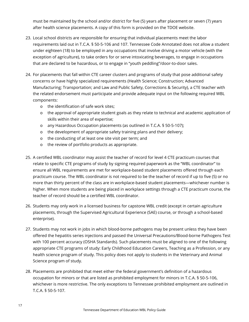must be maintained by the school and/or district for five (5) years after placement or seven (7) years after health science placements. A copy of this form is provided on the TDOE website.

- 23. Local school districts are responsible for ensuring that individual placements meet the labor requirements laid out in T.C.A. § 50-5-106 and 107. Tennessee Code Annotated does not allow a student under eighteen (18) to be employed in any occupations that involve driving a motor vehicle (with the exception of agriculture), to take orders for or serve intoxicating beverages, to engage in occupations that are declared to be hazardous, or to engage in "youth peddling"/door-to-door sales.
- 24. For placements that fall within CTE career clusters and programs of study that pose additional safety concerns or have highly specialized requirements (Health Science; Construction; Advanced Manufacturing; Transportation; and Law and Public Safety, Corrections & Security), a CTE teacher with the related endorsement must participate and provide adequate input on the following required WBL components:
	- o the identification of safe work sites;
	- o the approval of appropriate student goals as they relate to technical and academic application of skills within their area of expertise;
	- o any Hazardous Occupation placements (as outlined in T.C.A. § 50-5-107);
	- o the development of appropriate safety training plans and their delivery;
	- o the conducting of at least one site visit per term; and
	- o the review of portfolio products as appropriate.
- 25. A certified WBL coordinator may assist the teacher of record for level 4 CTE practicum courses that relate to specific CTE programs of study by signing required paperwork as the "WBL coordinator" to ensure all WBL requirements are met for workplace-based student placements offered through each practicum course. The WBL coordinator is not required to be the teacher of record if up to five (5) or no more than thirty percent of the class are in workplace-based student placements—whichever number is higher. When more students are being placed in workplace settings through a CTE practicum course, the teacher of record should be a certified WBL coordinator.
- 26. Students may only work in a licensed business for capstone WBL credit (except in certain agriculture placements, through the Supervised Agricultural Experience (SAE) course, or through a school-based enterprise).
- 27. Students may not work in jobs in which blood-borne pathogens may be present unless they have been offered the hepatitis series injections and passed the Universal Precautions/Blood-borne Pathogens Test with 100 percent accuracy (OSHA Standards). Such placements must be aligned to one of the following appropriate CTE programs of study: Early Childhood Education Careers, Teaching as a Profession, or any health science program of study. This policy does not apply to students in the Veterinary and Animal Science program of study.
- 28. Placements are prohibited that meet either the federal government's definition of a hazardous occupation for minors or that are listed as prohibited employment for minors in T.C.A. § 50-5-106, whichever is more restrictive. The only exceptions to Tennessee prohibited employment are outlined in T.C.A. § 50-5-107.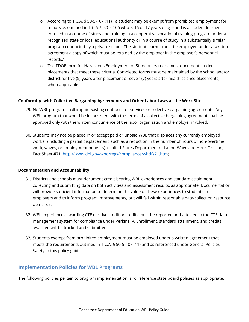- o According to T.C.A. § 50-5-107 (11), "a student may be exempt from prohibited employment for minors as outlined in T.C.A. § 50-5-106 who is 16 or 17 years of age and is a student learner enrolled in a course of study and training in a cooperative vocational training program under a recognized state or local educational authority or in a course of study in a substantially similar program conducted by a private school. The student learner must be employed under a written agreement a copy of which must be retained by the employer in the employer's personnel records."
- o The TDOE form for Hazardous Employment of Student Learners must document student placements that meet these criteria. Completed forms must be maintained by the school and/or district for five (5) years after placement or seven (7) years after health science placements, when applicable.

#### **Conformity with Collective Bargaining Agreements and Other Labor Laws at the Work Site**

- 29. No WBL program shall impair existing contracts for services or collective bargaining agreements. Any WBL program that would be inconsistent with the terms of a collective bargaining agreement shall be approved only with the written concurrence of the labor organization and employer involved.
- 30. Students may not be placed in or accept paid or unpaid WBL that displaces any currently employed worker (including a partial displacement, such as a reduction in the number of hours of non-overtime work, wages, or employment benefits). (United States Department of Labor, Wage and Hour Division, Fact Sheet #71, [http://www.dol.gov/whd/regs/compliance/whdfs71.htm\)](http://www.dol.gov/whd/regs/compliance/whdfs71.htm)

#### **Documentation and Accountability**

- 31. Districts and schools must document credit-bearing WBL experiences and standard attainment, collecting and submitting data on both activities and assessment results, as appropriate. Documentation will provide sufficient information to determine the value of these experiences to students and employers and to inform program improvements, but will fall within reasonable data-collection resource demands.
- 32. WBL experiences awarding CTE elective credit or credits must be reported and attested in the CTE data management system for compliance under Perkins IV. Enrollment, standard attainment, and credits awarded will be tracked and submitted.
- 33. Students exempt from prohibited employment must be employed under a written agreement that meets the requirements outlined in T.C.A. § 50-5-107 (11) and as referenced under General Policies-Safety in this policy guide.

#### <span id="page-18-0"></span>**Implementation Policies for WBL Programs**

The following policies pertain to program implementation, and reference state board policies as appropriate.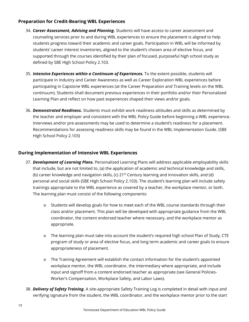#### **Preparation for Credit-Bearing WBL Experiences**

- 34. *Career Assessment, Advising and Planning.* Students will have access to career assessment and counseling services prior to and during WBL experiences to ensure the placement is aligned to help students progress toward their academic and career goals. Participation in WBL will be informed by students' career interest inventories, aligned to the student's chosen area of elective focus, and supported through the courses identified by their plan of focused, purposeful high school study as defined by SBE High School Policy 2.103.
- 35. *Intensive Experiences within a Continuum of Experiences.* To the extent possible, students will participate in Industry and Career Awareness as well as Career Exploration WBL experiences before participating in Capstone WBL experiences (at the Career Preparation and Training levels on the WBL continuum). Students shall document previous experiences in their portfolio and/or their Personalized Learning Plan and reflect on how past experiences shaped their views and/or goals.
- 36. *Demonstrated Readiness.* Students must exhibit work readiness attitudes and skills as determined by the teacher and employer and consistent with the WBL Policy Guide before beginning a WBL experience. Interviews and/or pre-assessments may be used to determine a student's readiness for a placement. Recommendations for assessing readiness skills may be found in the WBL Implementation Guide. (SBE High School Policy 2.103)

#### **During Implementation of Intensive WBL Experiences**

- 37. *Development of Learning Plans.* Personalized Learning Plans will address applicable employability skills that include, but are not limited to, (a) the application of academic and technical knowledge and skills, (b) career knowledge and navigation skills, (c)  $21^{st}$  Century learning and innovation skills, and (d) personal and social skills (SBE High School Policy 2.103). The student's learning plan will include safety trainings appropriate to the WBL experience as covered by a teacher, the workplace mentor, or both. The learning plan must consist of the following components:
	- o Students will develop goals for how to meet each of the WBL course standards through their class and/or placement. This plan will be developed with appropriate guidance from the WBL coordinator, the content endorsed teacher where necessary, and the workplace mentor as appropriate.
	- o The learning plan must take into account the student's required high school Plan of Study, CTE program of study or area of elective focus, and long term academic and career goals to ensure appropriateness of placement.
	- o The Training Agreement will establish the contact information for the student's appointed workplace mentor, the WBL coordinator, the intermediary where appropriate, and include input and signoff from a content endorsed teacher as appropriate (see General Policies-Worker's Compensation, Workplace Safety, and Labor Laws).
- 38. *Delivery of Safety Training.* A site-appropriate Safety Training Log is completed in detail with input and verifying signature from the student, the WBL coordinator, and the workplace mentor prior to the start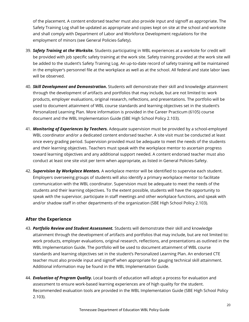of the placement. A content endorsed teacher must also provide input and signoff as appropriate. The Safety Training Log shall be updated as appropriate and copies kept on site at the school and worksite and shall comply with Department of Labor and Workforce Development regulations for the employment of minors (see General Policies-Safety).

- 39. *Safety Training at the Worksite.* Students participating in WBL experiences at a worksite for credit will be provided with job specific safety training at the work site. Safety training provided at the work site will be added to the student's Safety Training Log. An up-to-date record of safety training will be maintained in the employer's personnel file at the workplace as well as at the school. All federal and state labor laws will be observed.
- 40. *Skill Development and Demonstration***.** Students will demonstrate their skill and knowledge attainment through the development of artifacts and portfolios that may include, but are not limited to: work products, employer evaluations, original research, reflections, and presentations. The portfolio will be used to document attainment of WBL course standards and learning objectives set in the student's Personalized Learning Plan. More information is provided in the Career Practicum (6105) course document and the WBL Implementation Guide (SBE High School Policy 2.103).
- 41. *Monitoring of Experiences by Teachers.* Adequate supervision must be provided by a school-employed WBL coordinator and/or a dedicated content endorsed teacher. A site visit must be conducted at least once every grading period. Supervision provided must be adequate to meet the needs of the students and their learning objectives. Teachers must speak with the workplace mentor to ascertain progress toward learning objectives and any additional support needed. A content endorsed teacher must also conduct at least one site visit per term when appropriate, as listed in General Policies-Safety.
- 42. *Supervision by Workplace Mentors.* A workplace mentor will be identified to supervise each student. Employers overseeing groups of students will also identify a primary workplace mentor to facilitate communication with the WBL coordinator. Supervision must be adequate to meet the needs of the students and their learning objectives. To the extent possible, students will have the opportunity to speak with the supervisor, participate in staff meetings and other workplace functions, and speak with and/or shadow staff in other departments of the organization (SBE High School Policy 2.103).

#### **After the Experience**

- 43. *Portfolio Review and Student Assessment.* Students will demonstrate their skill and knowledge attainment through the development of artifacts and portfolios that may include, but are not limited to: work products, employer evaluations, original research, reflections, and presentations as outlined in the WBL Implementation Guide. The portfolio will be used to document attainment of WBL course standards and learning objectives set in the student's Personalized Learning Plan. An endorsed CTE teacher must also provide input and signoff when appropriate for gauging technical skill attainment. Additional information may be found in the WBL Implementation Guide.
- 44. *Evaluation of Program Quality.* Local boards of education will adopt a process for evaluation and assessment to ensure work-based learning experiences are of high quality for the student. Recommended evaluation tools are provided in the WBL Implementation Guide (SBE High School Policy 2.103).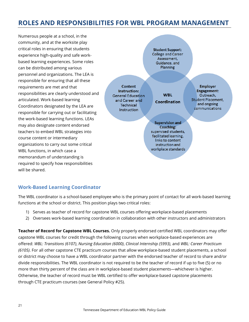# <span id="page-21-0"></span>**ROLES AND RESPONSIBILITIES FOR WBL PROGRAM MANAGEMENT**

Numerous people at a school, in the community, and at the worksite play critical roles in ensuring that students experience high-quality and safe workbased learning experiences. Some roles can be distributed among various personnel and organizations. The LEA is responsible for ensuring that all these requirements are met and that responsibilities are clearly understood and articulated. Work-based learning Coordinators designated by the LEA are responsible for carrying out or facilitating the work-based learning functions. LEAs may also designate content endorsed teachers to embed WBL strategies into course content or intermediary organizations to carry out some critical WBL functions, in which case a memorandum of understanding is required to specify how responsibilities will be shared.



## <span id="page-21-1"></span>**Work-Based Learning Coordinator**

The WBL coordinator is a school-based employee who is the primary point of contact for all work-based learning functions at the school or district. This position plays two critical roles:

- 1) Serves as teacher of record for capstone WBL courses offering workplace-based placements
- 2) Oversees work-based learning coordination in collaboration with other instructors and administrators

**Teacher of Record for Capstone WBL Courses.** Only properly endorsed certified WBL coordinators may offer capstone WBL courses for credit through the following courses when workplace-based experiences are offered: *WBL: Transitions (6107)*, *Nursing Education (6000)*, *Clinical Internship (5993)*, and *WBL: Career Practicum (6105)*. For all other capstone CTE practicum courses that allow workplace-based student placements, a school or district may choose to have a WBL coordinator partner with the endorsed teacher of record to share and/or divide responsibilities. The WBL coordinator is not required to be the teacher of record if up to five (5) or no more than thirty percent of the class are in workplace-based student placements—whichever is higher. Otherwise, the teacher of record must be WBL certified to offer workplace-based capstone placements through CTE practicum courses (see General Policy #25).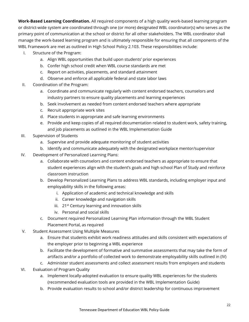**Work-Based Learning Coordination.** All required components of a high quality work-based learning program or district-wide system are coordinated through one (or more) designated WBL coordinator(s) who serves as the primary point of communication at the school or district for all other stakeholders. The WBL coordinator shall manage the work-based learning program and is ultimately responsible for ensuring that all components of the WBL Framework are met as outlined in High School Policy 2.103. These responsibilities include:

- I. Structure of the Program:
	- a. Align WBL opportunities that build upon students' prior experiences
	- b. Confer high school credit when WBL course standards are met
	- c. Report on activities, placements, and standard attainment
	- d. Observe and enforce all applicable federal and state labor laws
- II. Coordination of the Program:
	- a. Coordinate and communicate regularly with content endorsed teachers, counselors and industry partners to ensure quality placements and learning experiences
	- b. Seek involvement as needed from content endorsed teachers where appropriate
	- c. Recruit appropriate work sites
	- d. Place students in appropriate and safe learning environments
	- e. Provide and keep copies of all required documentation related to student work, safety training, and job placements as outlined in the WBL Implementation Guide
- III. Supervision of Students
	- a. Supervise and provide adequate monitoring of student activities
	- b. Identify and communicate adequately with the designated workplace mentor/supervisor
- IV. Development of Personalized Learning Plans:
	- a. Collaborate with counselors and content endorsed teachers as appropriate to ensure that student experiences align with the student's goals and high school Plan of Study and reinforce classroom instruction
	- b. Develop Personalized Learning Plans to address WBL standards, including employer input and employability skills in the following areas:
		- i. Application of academic and technical knowledge and skills
		- ii. Career knowledge and navigation skills
		- iii. 21<sup>st</sup> Century learning and innovation skills
		- iv. Personal and social skills
	- c. Document required Personalized Learning Plan information through the WBL Student Placement Portal, as required
- V. Student Assessment Using Multiple Measures
	- a. Ensure that students exhibit work readiness attitudes and skills consistent with expectations of the employer prior to beginning a WBL experience
	- b. Facilitate the development of formative and summative assessments that may take the form of artifacts and/or a portfolio of collected work to demonstrate employability skills outlined in (IV)
	- c. Administer student assessments and collect assessment results from employers and students
- VI. Evaluation of Program Quality
	- a. Implement locally-adopted evaluation to ensure quality WBL experiences for the students (recommended evaluation tools are provided in the WBL Implementation Guide)
	- b. Provide evaluation results to school and/or district leadership for continuous improvement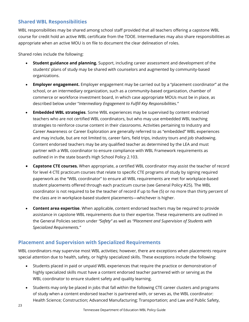## <span id="page-23-0"></span>**Shared WBL Responsibilities**

WBL responsibilities may be shared among school staff provided that all teachers offering a capstone WBL course for credit hold an active WBL certificate from the TDOE. Intermediaries may also share responsibilities as appropriate when an active MOU is on file to document the clear delineation of roles.

Shared roles include the following:

- **Student guidance and planning.** Support, including career assessment and development of the students' plans of study may be shared with counselors and augmented by community-based organizations.
- **Employer engagement.** Employer engagement may be carried out by a "placement coordinator" at the school, or an intermediary organization, such as a community-based organization, chamber of commerce or workforce investment board, in which case appropriate MOUs must be in place, as described below under "*Intermediary Engagement to Fulfill Key Responsibilities."*
- **Embedded WBL strategies**. Some WBL experiences may be supervised by content endorsed teachers who are not certified WBL coordinators, but who may use embedded WBL teaching strategies to reinforce course content in their classrooms. Activities pertaining to Industry and Career Awareness or Career Exploration are generally referred to as "embedded" WBL experiences and may include, but are not limited to, career fairs, field trips, industry tours and job shadowing. Content endorsed teachers may be any qualified teacher as determined by the LEA and must partner with a WBL coordinator to ensure compliance with WBL Framework requirements as outlined in in the state board's High School Policy 2.103.
- **Capstone CTE courses.** When appropriate, a certified WBL coordinator may assist the teacher of record for level 4 CTE practicum courses that relate to specific CTE programs of study by signing required paperwork as the "WBL coordinator" to ensure all WBL requirements are met for workplace-based student placements offered through each practicum course (see General Policy #25). The WBL coordinator is not required to be the teacher of record if up to five (5) or no more than thirty percent of the class are in workplace-based student placements—whichever is higher.
- **Content area expertise**. When applicable, content endorsed teachers may be required to provide assistance in capstone WBL requirements due to their expertise. These requirements are outlined in the General Policies section under *"Safety"* as well as *"Placement and Supervision of Students with Specialized Requirements."*

#### <span id="page-23-1"></span>**Placement and Supervision with Specialized Requirements**

WBL coordinators may supervise most WBL activities; however, there are exceptions when placements require special attention due to health, safety, or highly specialized skills. These exceptions include the following:

- Students placed in paid or unpaid WBL experiences that require the practice or demonstration of highly specialized skills must have a content endorsed teacher partnered with or serving as the WBL coordinator to ensure student safety and quality learning.
- Students may only be placed in jobs that fall within the following CTE career clusters and programs of study when a content endorsed teacher is partnered with, or serves as, the WBL coordinator: Health Science; Construction; Advanced Manufacturing; Transportation; and Law and Public Safety,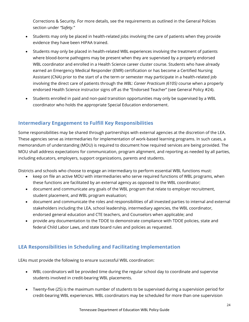Corrections & Security. For more details, see the requirements as outlined in the General Policies section under *"Safety."*

- Students may only be placed in health-related jobs involving the care of patients when they provide evidence they have been HIPAA trained.
- Students may only be placed in health-related WBL experiences involving the treatment of patients where blood-borne pathogens may be present when they are supervised by a properly endorsed WBL coordinator and enrolled in a Health Science career cluster course. Students who have already earned an Emergency Medical Responder (EMR) certification or has become a Certified Nursing Assistant (CNA) prior to the start of a the term or semester may participate in a health-related job involving the direct care of patients through the *WBL: Career Practicum (6105)* course when a properly endorsed Health Science instructor signs off as the "Endorsed Teacher" (see General Policy #24).
- Students enrolled in paid and non-paid transition opportunities may only be supervised by a WBL coordinator who holds the appropriate Special Education endorsement.

# <span id="page-24-0"></span>**Intermediary Engagement to Fulfill Key Responsibilities**

Some responsibilities may be shared through partnerships with external agencies at the discretion of the LEA. These agencies serve as intermediaries for implementation of work-based learning programs. In such cases, a memorandum of understanding (MOU) is required to document how required services are being provided. The MOU shall address expectations for communication, program alignment, and reporting as needed by all parties, including educators, employers, support organizations, parents and students.

Districts and schools who choose to engage an intermediary to perform essential WBL functions must:

- keep on file an active MOU with intermediaries who serve required functions of WBL programs, when these functions are facilitated by an external agency as opposed to the WBL coordinator;
- document and communicate any goals of the WBL program that relate to employer recruitment, student placement, and WBL program evaluation;
- document and communicate the roles and responsibilities of all invested parties to internal and external stakeholders including the LEA, school leadership, intermediary agencies, the WBL coordinator, endorsed general education and CTE teachers, and Counselors when applicable; and
- provide any documentation to the TDOE to demonstrate compliance with TDOE policies, state and federal Child Labor Laws, and state board rules and policies as requested.

## <span id="page-24-1"></span>**LEA Responsibilities in Scheduling and Facilitating Implementation**

LEAs must provide the following to ensure successful WBL coordination:

- WBL coordinators will be provided time during the regular school day to coordinate and supervise students involved in credit-bearing WBL placements.
- Twenty-five (25) is the maximum number of students to be supervised during a supervision period for credit-bearing WBL experiences. WBL coordinators may be scheduled for more than one supervision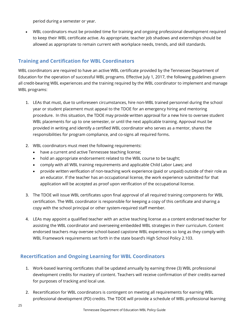period during a semester or year.

• WBL coordinators must be provided time for training and ongoing professional development required to keep their WBL certificate active. As appropriate, teacher job shadows and externships should be allowed as appropriate to remain current with workplace needs, trends, and skill standards.

# <span id="page-25-0"></span>**Training and Certification for WBL Coordinators**

WBL coordinators are required to have an active WBL certificate provided by the Tennessee Department of Education for the operation of successful WBL programs. Effective July 1, 2017, the following guidelines govern all credit-bearing WBL experiences and the training required by the WBL coordinator to implement and manage WBL programs:

- 1. LEAs that must, due to unforeseen circumstances, hire non-WBL trained personnel during the school year or student placement must appeal to the TDOE for an emergency hiring and mentoring procedure. In this situation, the TDOE may provide written approval for a new hire to oversee student WBL placements for up to one semester, or until the next applicable training. Approval must be provided in writing and identify a certified WBL coordinator who serves as a mentor, shares the responsibilities for program compliance, and co-signs all required forms.
- 2. WBL coordinators must meet the following requirements:
	- have a current and active Tennessee teaching license;
	- hold an appropriate endorsement related to the WBL course to be taught;
	- comply with all WBL training requirements and applicable Child Labor Laws; and
	- provide written verification of non-teaching work experience (paid or unpaid) outside of their role as an educator. If the teacher has an occupational license, the work experience submitted for that application will be accepted as proof upon verification of the occupational license.
- 3. The TDOE will issue WBL certificates upon final approval of all required training components for WBL certification. The WBL coordinator is responsible for keeping a copy of this certificate and sharing a copy with the school principal or other system-required staff member.
- 4. LEAs may appoint a qualified teacher with an active teaching license as a content endorsed teacher for assisting the WBL coordinator and overseeing embedded WBL strategies in their curriculum. Content endorsed teachers may oversee school-based capstone WBL experiences so long as they comply with WBL Framework requirements set forth in the state board's High School Policy 2.103.

## <span id="page-25-1"></span>**Recertification and Ongoing Learning for WBL Coordinators**

- 1. Work-based learning certificates shall be updated annually by earning three (3) WBL professional development credits for mastery of content. Teachers will receive confirmation of their credits earned for purposes of tracking and local use.
- 2. Recertification for WBL coordinators is contingent on meeting all requirements for earning WBL professional development (PD) credits. The TDOE will provide a schedule of WBL professional learning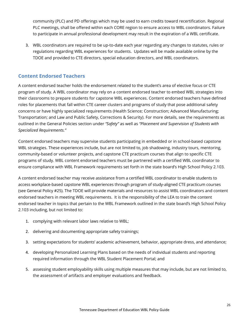community (PLC) and PD offerings which may be used to earn credits toward recertification. Regional PLC meetings, shall be offered within each CORE region to ensure access to WBL coordinators. Failure to participate in annual professional development may result in the expiration of a WBL certificate.

3. WBL coordinators are required to be up-to-date each year regarding any changes to statutes, rules or regulations regarding WBL experiences for students. Updates will be made available online by the TDOE and provided to CTE directors, special education directors, and WBL coordinators.

#### <span id="page-26-0"></span>**Content Endorsed Teachers**

A content endorsed teacher holds the endorsement related to the student's area of elective focus or CTE program of study. A WBL coordinator may rely on a content endorsed teacher to embed WBL strategies into their classrooms to prepare students for capstone WBL experiences. Content endorsed teachers have defined roles for placements that fall within CTE career clusters and programs of study that pose additional safety concerns or have highly specialized requirements (Health Science; Construction; Advanced Manufacturing; Transportation; and Law and Public Safety, Corrections & Security). For more details, see the requirements as outlined in the General Policies section under *"Safety"* as well as *"Placement and Supervision of Students with Specialized Requirements."*

Content endorsed teachers may supervise students participating in embedded or in school-based capstone WBL strategies. These experiences include, but are not limited to, job shadowing, industry tours, mentoring, community-based or volunteer projects, and capstone CTE practicum courses that align to specific CTE programs of study. WBL content endorsed teachers must be partnered with a certified WBL coordinator to ensure compliance with WBL Framework requirements set forth in the state board's High School Policy 2.103.

A content endorsed teacher may receive assistance from a certified WBL coordinator to enable students to access workplace-based capstone WBL experiences through program of study-aligned CTE practicum courses (see General Policy #25). The TDOE will provide materials and resources to assist WBL coordinators and content endorsed teachers in meeting WBL requirements. It is the responsibility of the LEA to train the content endorsed teacher in topics that pertain to the WBL Framework outlined in the state board's High School Policy 2.103 including, but not limited to:

- 1. complying with relevant labor laws relative to WBL;
- 2. delivering and documenting appropriate safety trainings;
- 3. setting expectations for students' academic achievement, behavior, appropriate dress, and attendance;
- 4. developing Personalized Learning Plans based on the needs of individual students and reporting required information through the WBL Student Placement Portal; and
- 5. assessing student employability skills using multiple measures that may include, but are not limited to, the assessment of artifacts and employer evaluations and feedback.